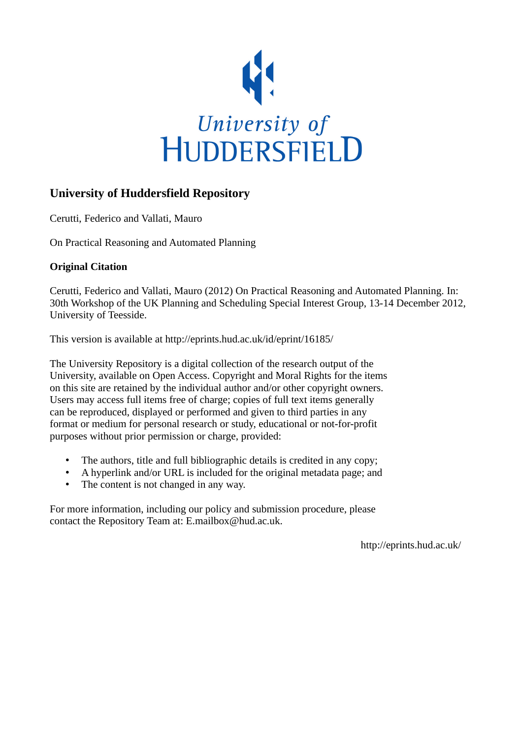

# **University of Huddersfield Repository**

Cerutti, Federico and Vallati, Mauro

On Practical Reasoning and Automated Planning

## **Original Citation**

Cerutti, Federico and Vallati, Mauro (2012) On Practical Reasoning and Automated Planning. In: 30th Workshop of the UK Planning and Scheduling Special Interest Group, 13-14 December 2012, University of Teesside.

This version is available at http://eprints.hud.ac.uk/id/eprint/16185/

The University Repository is a digital collection of the research output of the University, available on Open Access. Copyright and Moral Rights for the items on this site are retained by the individual author and/or other copyright owners. Users may access full items free of charge; copies of full text items generally can be reproduced, displayed or performed and given to third parties in any format or medium for personal research or study, educational or not-for-profit purposes without prior permission or charge, provided:

- The authors, title and full bibliographic details is credited in any copy;
- A hyperlink and/or URL is included for the original metadata page; and
- The content is not changed in any way.

For more information, including our policy and submission procedure, please contact the Repository Team at: E.mailbox@hud.ac.uk.

http://eprints.hud.ac.uk/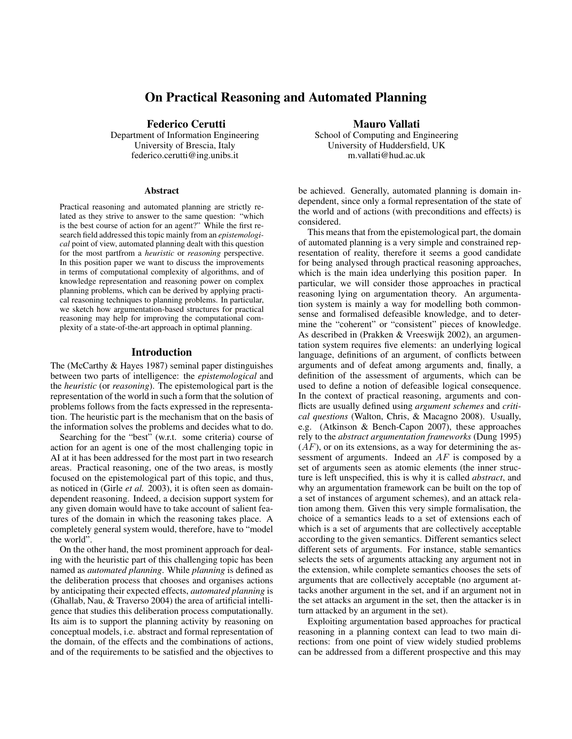### On Practical Reasoning and Automated Planning

Federico Cerutti

Department of Information Engineering University of Brescia, Italy federico.cerutti@ing.unibs.it

#### Abstract

Practical reasoning and automated planning are strictly related as they strive to answer to the same question: "which is the best course of action for an agent?" While the first research field addressed this topic mainly from an *epistemological* point of view, automated planning dealt with this question for the most partfrom a *heuristic* or *reasoning* perspective. In this position paper we want to discuss the improvements in terms of computational complexity of algorithms, and of knowledge representation and reasoning power on complex planning problems, which can be derived by applying practical reasoning techniques to planning problems. In particular, we sketch how argumentation-based structures for practical reasoning may help for improving the computational complexity of a state-of-the-art approach in optimal planning.

#### Introduction

The (McCarthy & Hayes 1987) seminal paper distinguishes between two parts of intelligence: the *epistemological* and the *heuristic* (or *reasoning*). The epistemological part is the representation of the world in such a form that the solution of problems follows from the facts expressed in the representation. The heuristic part is the mechanism that on the basis of the information solves the problems and decides what to do.

Searching for the "best" (w.r.t. some criteria) course of action for an agent is one of the most challenging topic in AI at it has been addressed for the most part in two research areas. Practical reasoning, one of the two areas, is mostly focused on the epistemological part of this topic, and thus, as noticed in (Girle *et al.* 2003), it is often seen as domaindependent reasoning. Indeed, a decision support system for any given domain would have to take account of salient features of the domain in which the reasoning takes place. A completely general system would, therefore, have to "model the world".

On the other hand, the most prominent approach for dealing with the heuristic part of this challenging topic has been named as *automated planning*. While *planning* is defined as the deliberation process that chooses and organises actions by anticipating their expected effects, *automated planning* is (Ghallab, Nau, & Traverso 2004) the area of artificial intelligence that studies this deliberation process computationally. Its aim is to support the planning activity by reasoning on conceptual models, i.e. abstract and formal representation of the domain, of the effects and the combinations of actions, and of the requirements to be satisfied and the objectives to

Mauro Vallati School of Computing and Engineering University of Huddersfield, UK m.vallati@hud.ac.uk

be achieved. Generally, automated planning is domain independent, since only a formal representation of the state of the world and of actions (with preconditions and effects) is considered.

This means that from the epistemological part, the domain of automated planning is a very simple and constrained representation of reality, therefore it seems a good candidate for being analysed through practical reasoning approaches, which is the main idea underlying this position paper. In particular, we will consider those approaches in practical reasoning lying on argumentation theory. An argumentation system is mainly a way for modelling both commonsense and formalised defeasible knowledge, and to determine the "coherent" or "consistent" pieces of knowledge. As described in (Prakken & Vreeswijk 2002), an argumentation system requires five elements: an underlying logical language, definitions of an argument, of conflicts between arguments and of defeat among arguments and, finally, a definition of the assessment of arguments, which can be used to define a notion of defeasible logical consequence. In the context of practical reasoning, arguments and conflicts are usually defined using *argument schemes* and *critical questions* (Walton, Chris, & Macagno 2008). Usually, e.g. (Atkinson & Bench-Capon 2007), these approaches rely to the *abstract argumentation frameworks* (Dung 1995)  $(AF)$ , or on its extensions, as a way for determining the assessment of arguments. Indeed an AF is composed by a set of arguments seen as atomic elements (the inner structure is left unspecified, this is why it is called *abstract*, and why an argumentation framework can be built on the top of a set of instances of argument schemes), and an attack relation among them. Given this very simple formalisation, the choice of a semantics leads to a set of extensions each of which is a set of arguments that are collectively acceptable according to the given semantics. Different semantics select different sets of arguments. For instance, stable semantics selects the sets of arguments attacking any argument not in the extension, while complete semantics chooses the sets of arguments that are collectively acceptable (no argument attacks another argument in the set, and if an argument not in the set attacks an argument in the set, then the attacker is in turn attacked by an argument in the set).

Exploiting argumentation based approaches for practical reasoning in a planning context can lead to two main directions: from one point of view widely studied problems can be addressed from a different prospective and this may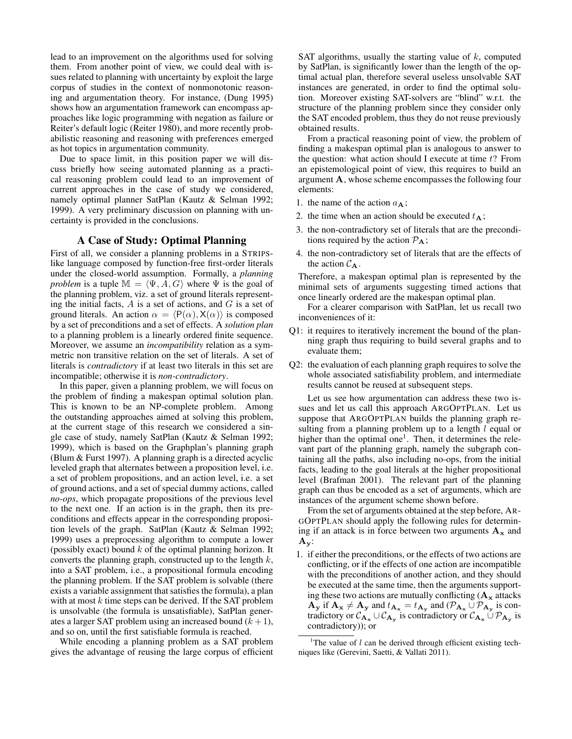lead to an improvement on the algorithms used for solving them. From another point of view, we could deal with issues related to planning with uncertainty by exploit the large corpus of studies in the context of nonmonotonic reasoning and argumentation theory. For instance, (Dung 1995) shows how an argumentation framework can encompass approaches like logic programming with negation as failure or Reiter's default logic (Reiter 1980), and more recently probabilistic reasoning and reasoning with preferences emerged as hot topics in argumentation community.

Due to space limit, in this position paper we will discuss briefly how seeing automated planning as a practical reasoning problem could lead to an improvement of current approaches in the case of study we considered, namely optimal planner SatPlan (Kautz & Selman 1992; 1999). A very preliminary discussion on planning with uncertainty is provided in the conclusions.

#### A Case of Study: Optimal Planning

First of all, we consider a planning problems in a STRIPSlike language composed by function-free first-order literals under the closed-world assumption. Formally, a *planning problem* is a tuple  $\mathbb{M} = \langle \Psi, A, G \rangle$  where  $\Psi$  is the goal of the planning problem, viz. a set of ground literals representing the initial facts,  $A$  is a set of actions, and  $G$  is a set of ground literals. An action  $\alpha = \langle P(\alpha), X(\alpha) \rangle$  is composed by a set of preconditions and a set of effects. A *solution plan* to a planning problem is a linearly ordered finite sequence. Moreover, we assume an *incompatibility* relation as a symmetric non transitive relation on the set of literals. A set of literals is *contradictory* if at least two literals in this set are incompatible; otherwise it is *non-contradictory*.

In this paper, given a planning problem, we will focus on the problem of finding a makespan optimal solution plan. This is known to be an NP-complete problem. Among the outstanding approaches aimed at solving this problem, at the current stage of this research we considered a single case of study, namely SatPlan (Kautz & Selman 1992; 1999), which is based on the Graphplan's planning graph (Blum & Furst 1997). A planning graph is a directed acyclic leveled graph that alternates between a proposition level, i.e. a set of problem propositions, and an action level, i.e. a set of ground actions, and a set of special dummy actions, called *no-ops*, which propagate propositions of the previous level to the next one. If an action is in the graph, then its preconditions and effects appear in the corresponding proposition levels of the graph. SatPlan (Kautz & Selman 1992; 1999) uses a preprocessing algorithm to compute a lower (possibly exact) bound  $k$  of the optimal planning horizon. It converts the planning graph, constructed up to the length  $k$ , into a SAT problem, i.e., a propositional formula encoding the planning problem. If the SAT problem is solvable (there exists a variable assignment that satisfies the formula), a plan with at most  $k$  time steps can be derived. If the SAT problem is unsolvable (the formula is unsatisfiable), SatPlan generates a larger SAT problem using an increased bound  $(k+1)$ , and so on, until the first satisfiable formula is reached.

While encoding a planning problem as a SAT problem gives the advantage of reusing the large corpus of efficient

SAT algorithms, usually the starting value of  $k$ , computed by SatPlan, is significantly lower than the length of the optimal actual plan, therefore several useless unsolvable SAT instances are generated, in order to find the optimal solution. Moreover existing SAT-solvers are "blind" w.r.t. the structure of the planning problem since they consider only the SAT encoded problem, thus they do not reuse previously obtained results.

From a practical reasoning point of view, the problem of finding a makespan optimal plan is analogous to answer to the question: what action should I execute at time  $t$ ? From an epistemological point of view, this requires to build an argument A, whose scheme encompasses the following four elements:

- 1. the name of the action  $a_{\mathbf{A}}$ ;
- 2. the time when an action should be executed  $t_{\rm A}$ ;
- 3. the non-contradictory set of literals that are the preconditions required by the action  $P_A$ ;
- 4. the non-contradictory set of literals that are the effects of the action  $C_A$ .

Therefore, a makespan optimal plan is represented by the minimal sets of arguments suggesting timed actions that once linearly ordered are the makespan optimal plan.

For a clearer comparison with SatPlan, let us recall two inconveniences of it:

- Q1: it requires to iteratively increment the bound of the planning graph thus requiring to build several graphs and to evaluate them;
- Q2: the evaluation of each planning graph requires to solve the whole associated satisfiability problem, and intermediate results cannot be reused at subsequent steps.

Let us see how argumentation can address these two issues and let us call this approach ARGOPTPLAN. Let us suppose that ARGOPTPLAN builds the planning graph resulting from a planning problem up to a length  $l$  equal or higher than the optimal one<sup>1</sup>. Then, it determines the relevant part of the planning graph, namely the subgraph containing all the paths, also including no-ops, from the initial facts, leading to the goal literals at the higher propositional level (Brafman 2001). The relevant part of the planning graph can thus be encoded as a set of arguments, which are instances of the argument scheme shown before.

From the set of arguments obtained at the step before, AR-GOPTPLAN should apply the following rules for determining if an attack is in force between two arguments  $A_x$  and  $\mathbf{A}_{\mathbf{y}}$ :

1. if either the preconditions, or the effects of two actions are conflicting, or if the effects of one action are incompatible with the preconditions of another action, and they should be executed at the same time, then the arguments supporting these two actions are mutually conflicting  $(A_x)$  attacks  $\mathbf{A}_{\mathbf{y}}$  if  $\mathbf{A}_{\mathbf{x}} \neq \mathbf{A}_{\mathbf{y}}$  and  $t_{\mathbf{A}_{\mathbf{x}}} = t_{\mathbf{A}_{\mathbf{y}}}$  and  $(\mathcal{P}_{\mathbf{A}_{\mathbf{x}}} \cup \mathcal{P}_{\mathbf{A}_{\mathbf{y}}}$  is contradictory or  $C_{\mathbf{A}_{\mathbf{x}}} \cup C_{\mathbf{A}_{\mathbf{y}}}$  is contradictory or  $C_{\mathbf{A}_{\mathbf{x}}} \cup \mathcal{P}_{\mathbf{A}_{\mathbf{y}}}$  is contradictory)); or

<sup>&</sup>lt;sup>1</sup>The value of  $l$  can be derived through efficient existing techniques like (Gerevini, Saetti, & Vallati 2011).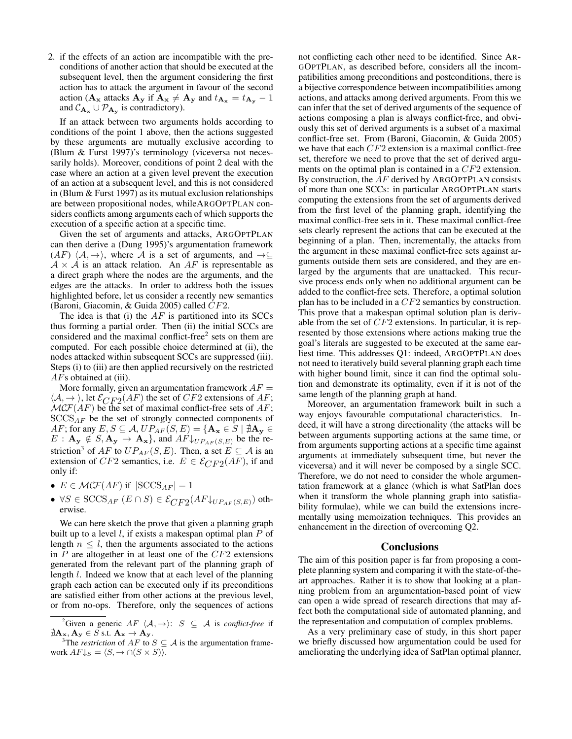2. if the effects of an action are incompatible with the preconditions of another action that should be executed at the subsequent level, then the argument considering the first action has to attack the argument in favour of the second action ( $\mathbf{A_x}$  attacks  $\mathbf{A_y}$  if  $\mathbf{A_x} \neq \mathbf{A_y}$  and  $t_{\mathbf{A_x}} = t_{\mathbf{A_y}} - 1$ and  $C_{A_x} \cup \mathcal{P}_{A_y}$  is contradictory).

If an attack between two arguments holds according to conditions of the point 1 above, then the actions suggested by these arguments are mutually exclusive according to (Blum & Furst 1997)'s terminology (viceversa not necessarily holds). Moreover, conditions of point 2 deal with the case where an action at a given level prevent the execution of an action at a subsequent level, and this is not considered in (Blum & Furst 1997) as its mutual exclusion relationships are between propositional nodes, whileARGOPTPLAN considers conflicts among arguments each of which supports the execution of a specific action at a specific time.

Given the set of arguments and attacks, ARGOPTPLAN can then derive a (Dung 1995)'s argumentation framework  $(AF)$   $\langle A, \rightarrow \rangle$ , where A is a set of arguments, and  $\rightarrow \subseteq$  $A \times A$  is an attack relation. An AF is representable as a direct graph where the nodes are the arguments, and the edges are the attacks. In order to address both the issues highlighted before, let us consider a recently new semantics (Baroni, Giacomin, & Guida 2005) called CF2.

The idea is that (i) the  $AF$  is partitioned into its SCCs thus forming a partial order. Then (ii) the initial SCCs are considered and the maximal conflict-free<sup>2</sup> sets on them are computed. For each possible choice determined at (ii), the nodes attacked within subsequent SCCs are suppressed (iii). Steps (i) to (iii) are then applied recursively on the restricted  $AFs$  obtained at (iii).

More formally, given an argumentation framework  $AF =$  $\langle A, \rightarrow \rangle$ , let  $\mathcal{E}_{CF2}(AF)$  the set of  $CF2$  extensions of  $AF$ ;  $\mathcal{MCF}(AF)$  be the set of maximal conflict-free sets of  $AF$ ;  $SCCS_{AF}$  be the set of strongly connected components of AF; for any  $E, S \subseteq A, UP_{AF}(S, E) = \{ \mathbf{A_x} \in S \mid \nexists \mathbf{A_y} \in$  $E: \mathbf{A}_{\mathbf{y}} \notin S, \mathbf{A}_{\mathbf{y}} \to \mathbf{A}_{\mathbf{x}}\}$ , and  $AF\downarrow_{UP_{AF}(S,E)}$  be the restriction<sup>3</sup> of AF to  $UP_{AF}(S, E)$ . Then, a set  $E \subseteq A$  is an extension of CF2 semantics, i.e.  $E \in \mathcal{E}_{CF2}(AF)$ , if and only if:

- $E \in \mathcal{MCF}(AF)$  if  $|SCCS_{AF}| = 1$
- $\forall S \in \text{SCCS}_{AF} (E \cap S) \in \mathcal{E}_{CF2}(AF\downarrow_{UP_{AF}(S,E)})$  otherwise.

We can here sketch the prove that given a planning graph built up to a level  $l$ , if exists a makespan optimal plan  $P$  of length  $n \leq l$ , then the arguments associated to the actions in  $P$  are altogether in at least one of the  $CF2$  extensions generated from the relevant part of the planning graph of length l. Indeed we know that at each level of the planning graph each action can be executed only if its preconditions are satisfied either from other actions at the previous level, or from no-ops. Therefore, only the sequences of actions

not conflicting each other need to be identified. Since AR-GOPTPLAN, as described before, considers all the incompatibilities among preconditions and postconditions, there is a bijective correspondence between incompatibilities among actions, and attacks among derived arguments. From this we can infer that the set of derived arguments of the sequence of actions composing a plan is always conflict-free, and obviously this set of derived arguments is a subset of a maximal conflict-free set. From (Baroni, Giacomin, & Guida 2005) we have that each CF2 extension is a maximal conflict-free set, therefore we need to prove that the set of derived arguments on the optimal plan is contained in a CF2 extension. By construction, the  $AF$  derived by ARGOPTPLAN consists of more than one SCCs: in particular ARGOPTPLAN starts computing the extensions from the set of arguments derived from the first level of the planning graph, identifying the maximal conflict-free sets in it. These maximal conflict-free sets clearly represent the actions that can be executed at the beginning of a plan. Then, incrementally, the attacks from the argument in these maximal conflict-free sets against arguments outside them sets are considered, and they are enlarged by the arguments that are unattacked. This recursive process ends only when no additional argument can be added to the conflict-free sets. Therefore, a optimal solution plan has to be included in a CF2 semantics by construction. This prove that a makespan optimal solution plan is derivable from the set of  $CF2$  extensions. In particular, it is represented by those extensions where actions making true the goal's literals are suggested to be executed at the same earliest time. This addresses Q1: indeed, ARGOPTPLAN does not need to iteratively build several planning graph each time with higher bound limit, since it can find the optimal solution and demonstrate its optimality, even if it is not of the same length of the planning graph at hand.

Moreover, an argumentation framework built in such a way enjoys favourable computational characteristics. Indeed, it will have a strong directionality (the attacks will be between arguments supporting actions at the same time, or from arguments supporting actions at a specific time against arguments at immediately subsequent time, but never the viceversa) and it will never be composed by a single SCC. Therefore, we do not need to consider the whole argumentation framework at a glance (which is what SatPlan does when it transform the whole planning graph into satisfiability formulae), while we can build the extensions incrementally using memoization techniques. This provides an enhancement in the direction of overcoming Q2.

#### **Conclusions**

The aim of this position paper is far from proposing a complete planning system and comparing it with the state-of-theart approaches. Rather it is to show that looking at a planning problem from an argumentation-based point of view can open a wide spread of research directions that may affect both the computational side of automated planning, and the representation and computation of complex problems.

As a very preliminary case of study, in this short paper we briefly discussed how argumentation could be used for ameliorating the underlying idea of SatPlan optimal planner,

<sup>&</sup>lt;sup>2</sup>Given a generic  $AF \langle A, \rightarrow \rangle$ :  $S \subseteq A$  is *conflict-free* if  $\nexists A_{\mathbf{x}}, \mathbf{A}_{\mathbf{y}} \in S$  s.t.  $\mathbf{A}_{\mathbf{x}} \to \mathbf{A}_{\mathbf{y}}$ .

<sup>&</sup>lt;sup>3</sup>The *restriction* of  $AF$  to  $S \subseteq \mathcal{A}$  is the argumentation framework  $AF\downarrow_S = \langle S, \rightarrow \cap (S \times S) \rangle$ .